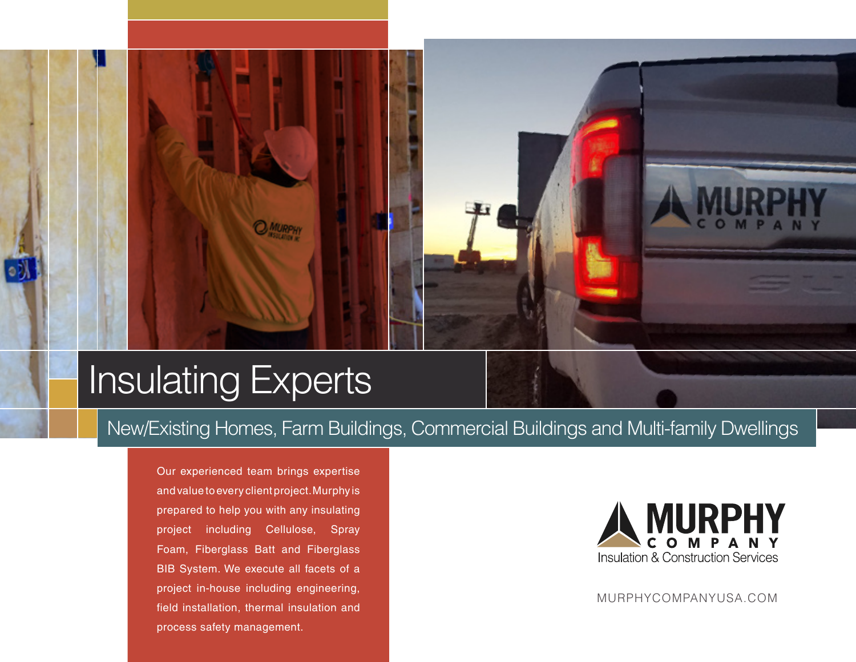## Insulating Experts

New/Existing Homes, Farm Buildings, Commercial Buildings and Multi-family Dwellings

Our experienced team brings expertise and value to every client project. Murphy is prepared to help you with any insulating project including Cellulose, Spray Foam, Fiberglass Batt and Fiberglass BIB System. We execute all facets of a project in-house including engineering, field installation, thermal insulation and process safety management.



MURPHYCOMPANYUSA.COM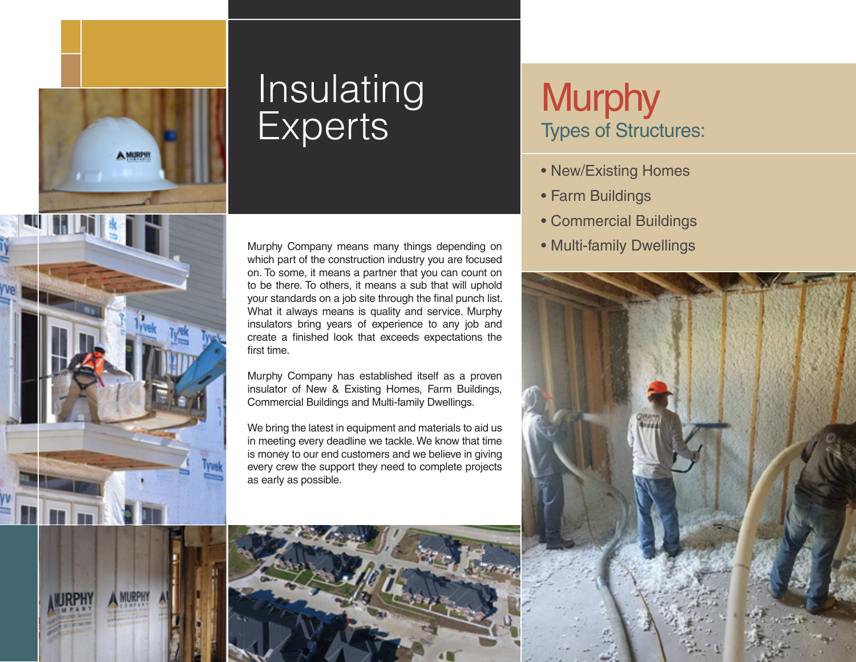

# Insulating Murphy<br>Experts Types of Struct

Murphy Company means many things depending on which part of the construction industry you are focused on. To some, it means a partner that you can count on to be there. To others, it means a sub that will uphold your standards on a job site through the final punch list. What it always means is quality and service. Murphy insulators bring years of experience to any job and create a finished look that exceeds expectations the first time.

Murphy Company has established itself as a proven insulator of New & Existing Homes, Farm Buildings, Commercial Buildings and Multi-family Dwellings.

We bring the latest in equipment and materials to aid us in meeting every deadline we tackle. We know that time is money to our end customers and we believe in giving every crew the support they need to complete projects as early as possible.

## Types of Structures:

- New/Existing Homes
- Farm Buildings
- Commercial Buildings
- Multi-family Dwellings

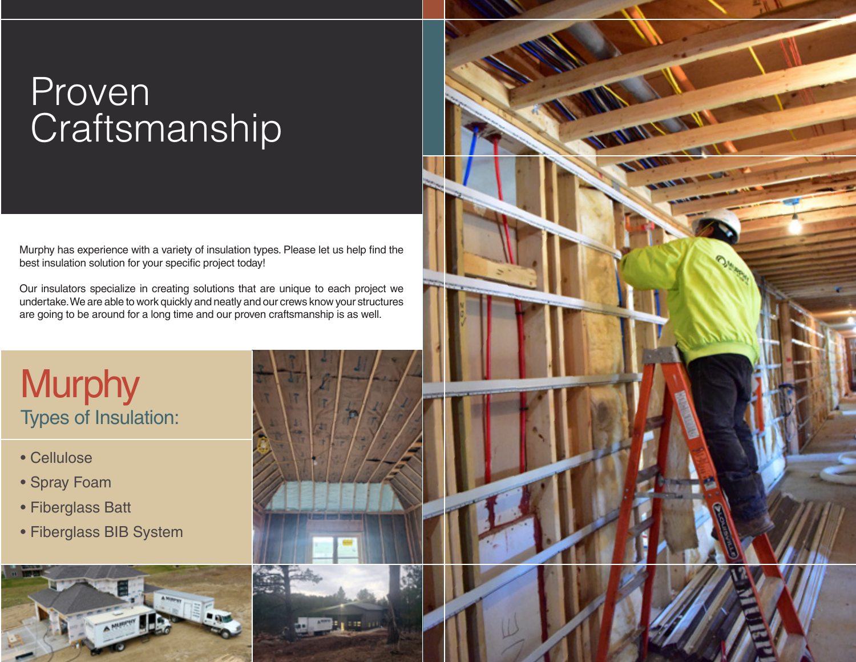## Proven **Craftsmanship**

Murphy has experience with a variety of insulation types. Please let us help find the best insulation solution for your specific project today!

Our insulators specialize in creating solutions that are unique to each project we undertake. We are able to work quickly and neatly and our crews know your structures are going to be around for a long time and our proven craftsmanship is as well.

### **Murphy** Types of Insulation:

- Cellulose
- Spray Foam
- Fiberglass Batt
- Fiberglass BIB System